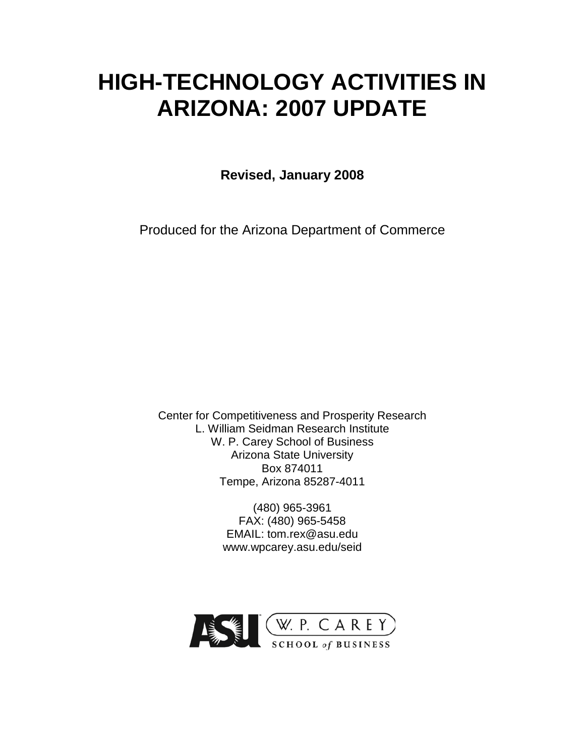# **HIGH-TECHNOLOGY ACTIVITIES IN ARIZONA: 2007 UPDATE**

**Revised, January 2008**

Produced for the Arizona Department of Commerce

Center for Competitiveness and Prosperity Research L. William Seidman Research Institute W. P. Carey School of Business Arizona State University Box 874011 Tempe, Arizona 85287-4011

> (480) 965-3961 FAX: (480) 965-5458 EMAIL: tom.rex@asu.edu www.wpcarey.asu.edu/seid

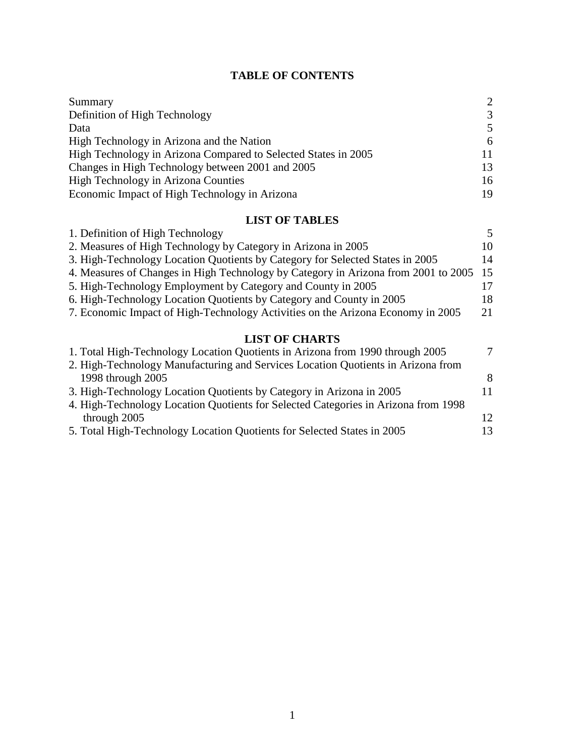# **TABLE OF CONTENTS**

| Summary                                                        | $\mathcal{D}_{\mathcal{L}}$ |
|----------------------------------------------------------------|-----------------------------|
| Definition of High Technology                                  | $\mathcal{R}$               |
| Data                                                           | 5                           |
| High Technology in Arizona and the Nation                      | 6                           |
| High Technology in Arizona Compared to Selected States in 2005 | 11                          |
| Changes in High Technology between 2001 and 2005               | 13                          |
| High Technology in Arizona Counties                            | 16                          |
| Economic Impact of High Technology in Arizona                  | 19                          |

# **LIST OF TABLES**

| 1. Definition of High Technology                                                   | 5   |
|------------------------------------------------------------------------------------|-----|
| 2. Measures of High Technology by Category in Arizona in 2005                      | 10. |
| 3. High-Technology Location Quotients by Category for Selected States in 2005      | 14  |
| 4. Measures of Changes in High Technology by Category in Arizona from 2001 to 2005 | 15  |
| 5. High-Technology Employment by Category and County in 2005                       |     |
| 6. High-Technology Location Quotients by Category and County in 2005               | 18. |
| 7. Economic Impact of High-Technology Activities on the Arizona Economy in 2005    | 21  |
|                                                                                    |     |

## **LIST OF CHARTS**

| $\mathcal{I}$ |
|---------------|
|               |
| 8             |
| 11            |
|               |
| 12            |
| 13            |
|               |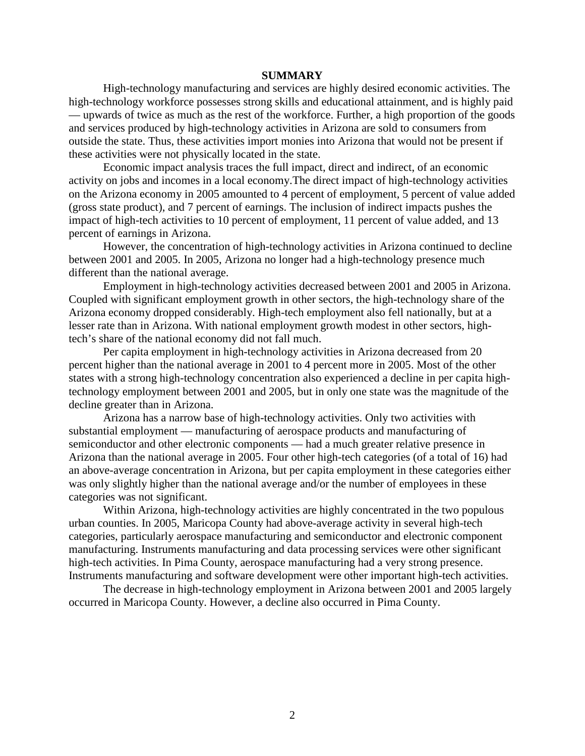## **SUMMARY**

High-technology manufacturing and services are highly desired economic activities. The high-technology workforce possesses strong skills and educational attainment, and is highly paid — upwards of twice as much as the rest of the workforce. Further, a high proportion of the goods and services produced by high-technology activities in Arizona are sold to consumers from outside the state. Thus, these activities import monies into Arizona that would not be present if these activities were not physically located in the state.

Economic impact analysis traces the full impact, direct and indirect, of an economic activity on jobs and incomes in a local economy.The direct impact of high-technology activities on the Arizona economy in 2005 amounted to 4 percent of employment, 5 percent of value added (gross state product), and 7 percent of earnings. The inclusion of indirect impacts pushes the impact of high-tech activities to 10 percent of employment, 11 percent of value added, and 13 percent of earnings in Arizona.

However, the concentration of high-technology activities in Arizona continued to decline between 2001 and 2005. In 2005, Arizona no longer had a high-technology presence much different than the national average.

Employment in high-technology activities decreased between 2001 and 2005 in Arizona. Coupled with significant employment growth in other sectors, the high-technology share of the Arizona economy dropped considerably. High-tech employment also fell nationally, but at a lesser rate than in Arizona. With national employment growth modest in other sectors, hightech's share of the national economy did not fall much.

Per capita employment in high-technology activities in Arizona decreased from 20 percent higher than the national average in 2001 to 4 percent more in 2005. Most of the other states with a strong high-technology concentration also experienced a decline in per capita hightechnology employment between 2001 and 2005, but in only one state was the magnitude of the decline greater than in Arizona.

Arizona has a narrow base of high-technology activities. Only two activities with substantial employment — manufacturing of aerospace products and manufacturing of semiconductor and other electronic components — had a much greater relative presence in Arizona than the national average in 2005. Four other high-tech categories (of a total of 16) had an above-average concentration in Arizona, but per capita employment in these categories either was only slightly higher than the national average and/or the number of employees in these categories was not significant.

Within Arizona, high-technology activities are highly concentrated in the two populous urban counties. In 2005, Maricopa County had above-average activity in several high-tech categories, particularly aerospace manufacturing and semiconductor and electronic component manufacturing. Instruments manufacturing and data processing services were other significant high-tech activities. In Pima County, aerospace manufacturing had a very strong presence. Instruments manufacturing and software development were other important high-tech activities.

The decrease in high-technology employment in Arizona between 2001 and 2005 largely occurred in Maricopa County. However, a decline also occurred in Pima County.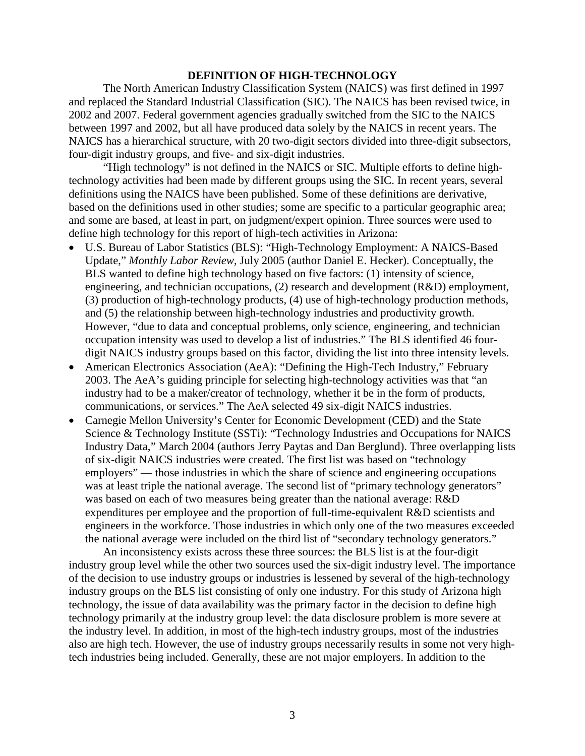## **DEFINITION OF HIGH-TECHNOLOGY**

The North American Industry Classification System (NAICS) was first defined in 1997 and replaced the Standard Industrial Classification (SIC). The NAICS has been revised twice, in 2002 and 2007. Federal government agencies gradually switched from the SIC to the NAICS between 1997 and 2002, but all have produced data solely by the NAICS in recent years. The NAICS has a hierarchical structure, with 20 two-digit sectors divided into three-digit subsectors, four-digit industry groups, and five- and six-digit industries.

"High technology" is not defined in the NAICS or SIC. Multiple efforts to define hightechnology activities had been made by different groups using the SIC. In recent years, several definitions using the NAICS have been published. Some of these definitions are derivative, based on the definitions used in other studies; some are specific to a particular geographic area; and some are based, at least in part, on judgment/expert opinion. Three sources were used to define high technology for this report of high-tech activities in Arizona:

- U.S. Bureau of Labor Statistics (BLS): "High-Technology Employment: A NAICS-Based Update," *Monthly Labor Review*, July 2005 (author Daniel E. Hecker). Conceptually, the BLS wanted to define high technology based on five factors: (1) intensity of science, engineering, and technician occupations, (2) research and development (R&D) employment, (3) production of high-technology products, (4) use of high-technology production methods, and (5) the relationship between high-technology industries and productivity growth. However, "due to data and conceptual problems, only science, engineering, and technician occupation intensity was used to develop a list of industries." The BLS identified 46 fourdigit NAICS industry groups based on this factor, dividing the list into three intensity levels.
- American Electronics Association (AeA): "Defining the High-Tech Industry," February 2003. The AeA's guiding principle for selecting high-technology activities was that "an industry had to be a maker/creator of technology, whether it be in the form of products, communications, or services." The AeA selected 49 six-digit NAICS industries.
- Carnegie Mellon University's Center for Economic Development (CED) and the State Science & Technology Institute (SSTi): "Technology Industries and Occupations for NAICS Industry Data," March 2004 (authors Jerry Paytas and Dan Berglund). Three overlapping lists of six-digit NAICS industries were created. The first list was based on "technology employers" — those industries in which the share of science and engineering occupations was at least triple the national average. The second list of "primary technology generators" was based on each of two measures being greater than the national average: R&D expenditures per employee and the proportion of full-time-equivalent R&D scientists and engineers in the workforce. Those industries in which only one of the two measures exceeded the national average were included on the third list of "secondary technology generators."

An inconsistency exists across these three sources: the BLS list is at the four-digit industry group level while the other two sources used the six-digit industry level. The importance of the decision to use industry groups or industries is lessened by several of the high-technology industry groups on the BLS list consisting of only one industry. For this study of Arizona high technology, the issue of data availability was the primary factor in the decision to define high technology primarily at the industry group level: the data disclosure problem is more severe at the industry level. In addition, in most of the high-tech industry groups, most of the industries also are high tech. However, the use of industry groups necessarily results in some not very hightech industries being included. Generally, these are not major employers. In addition to the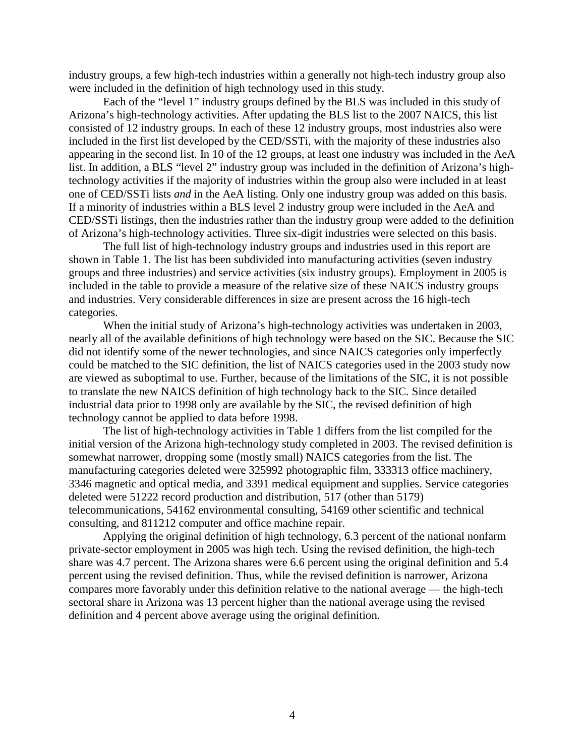industry groups, a few high-tech industries within a generally not high-tech industry group also were included in the definition of high technology used in this study.

Each of the "level 1" industry groups defined by the BLS was included in this study of Arizona's high-technology activities. After updating the BLS list to the 2007 NAICS, this list consisted of 12 industry groups. In each of these 12 industry groups, most industries also were included in the first list developed by the CED/SSTi, with the majority of these industries also appearing in the second list. In 10 of the 12 groups, at least one industry was included in the AeA list. In addition, a BLS "level 2" industry group was included in the definition of Arizona's hightechnology activities if the majority of industries within the group also were included in at least one of CED/SSTi lists *and* in the AeA listing. Only one industry group was added on this basis. If a minority of industries within a BLS level 2 industry group were included in the AeA and CED/SSTi listings, then the industries rather than the industry group were added to the definition of Arizona's high-technology activities. Three six-digit industries were selected on this basis.

The full list of high-technology industry groups and industries used in this report are shown in Table 1. The list has been subdivided into manufacturing activities (seven industry groups and three industries) and service activities (six industry groups). Employment in 2005 is included in the table to provide a measure of the relative size of these NAICS industry groups and industries. Very considerable differences in size are present across the 16 high-tech categories.

When the initial study of Arizona's high-technology activities was undertaken in 2003, nearly all of the available definitions of high technology were based on the SIC. Because the SIC did not identify some of the newer technologies, and since NAICS categories only imperfectly could be matched to the SIC definition, the list of NAICS categories used in the 2003 study now are viewed as suboptimal to use. Further, because of the limitations of the SIC, it is not possible to translate the new NAICS definition of high technology back to the SIC. Since detailed industrial data prior to 1998 only are available by the SIC, the revised definition of high technology cannot be applied to data before 1998.

The list of high-technology activities in Table 1 differs from the list compiled for the initial version of the Arizona high-technology study completed in 2003. The revised definition is somewhat narrower, dropping some (mostly small) NAICS categories from the list. The manufacturing categories deleted were 325992 photographic film, 333313 office machinery, 3346 magnetic and optical media, and 3391 medical equipment and supplies. Service categories deleted were 51222 record production and distribution, 517 (other than 5179) telecommunications, 54162 environmental consulting, 54169 other scientific and technical consulting, and 811212 computer and office machine repair.

Applying the original definition of high technology, 6.3 percent of the national nonfarm private-sector employment in 2005 was high tech. Using the revised definition, the high-tech share was 4.7 percent. The Arizona shares were 6.6 percent using the original definition and 5.4 percent using the revised definition. Thus, while the revised definition is narrower, Arizona compares more favorably under this definition relative to the national average — the high-tech sectoral share in Arizona was 13 percent higher than the national average using the revised definition and 4 percent above average using the original definition.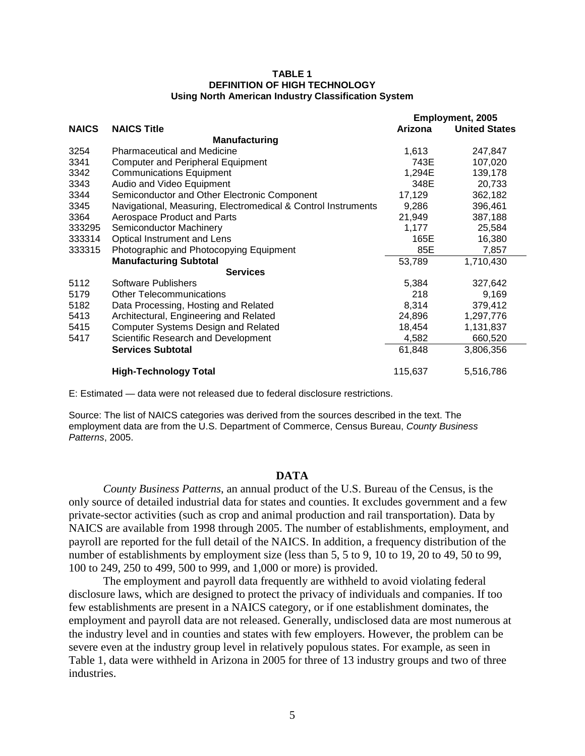#### **TABLE 1 DEFINITION OF HIGH TECHNOLOGY Using North American Industry Classification System**

|              |                                                               |         | <b>Employment, 2005</b> |
|--------------|---------------------------------------------------------------|---------|-------------------------|
| <b>NAICS</b> | <b>NAICS Title</b>                                            | Arizona | <b>United States</b>    |
|              | <b>Manufacturing</b>                                          |         |                         |
| 3254         | <b>Pharmaceutical and Medicine</b>                            | 1,613   | 247,847                 |
| 3341         | <b>Computer and Peripheral Equipment</b>                      | 743E    | 107,020                 |
| 3342         | <b>Communications Equipment</b>                               | 1,294E  | 139,178                 |
| 3343         | Audio and Video Equipment                                     | 348E    | 20,733                  |
| 3344         | Semiconductor and Other Electronic Component                  | 17,129  | 362,182                 |
| 3345         | Navigational, Measuring, Electromedical & Control Instruments | 9,286   | 396,461                 |
| 3364         | Aerospace Product and Parts                                   | 21,949  | 387,188                 |
| 333295       | Semiconductor Machinery                                       | 1,177   | 25,584                  |
| 333314       | Optical Instrument and Lens                                   | 165E    | 16,380                  |
| 333315       | Photographic and Photocopying Equipment                       | 85E     | 7,857                   |
|              | <b>Manufacturing Subtotal</b>                                 | 53,789  | 1,710,430               |
|              | <b>Services</b>                                               |         |                         |
| 5112         | Software Publishers                                           | 5,384   | 327,642                 |
| 5179         | <b>Other Telecommunications</b>                               | 218     | 9,169                   |
| 5182         | Data Processing, Hosting and Related                          | 8,314   | 379,412                 |
| 5413         | Architectural, Engineering and Related                        | 24,896  | 1,297,776               |
| 5415         | <b>Computer Systems Design and Related</b>                    | 18,454  | 1,131,837               |
| 5417         | Scientific Research and Development                           | 4,582   | 660,520                 |
|              | <b>Services Subtotal</b>                                      | 61,848  | 3,806,356               |
|              | <b>High-Technology Total</b>                                  | 115,637 | 5,516,786               |

E: Estimated — data were not released due to federal disclosure restrictions.

Source: The list of NAICS categories was derived from the sources described in the text. The employment data are from the U.S. Department of Commerce, Census Bureau, *County Business Patterns*, 2005.

## **DATA**

*County Business Patterns*, an annual product of the U.S. Bureau of the Census, is the only source of detailed industrial data for states and counties. It excludes government and a few private-sector activities (such as crop and animal production and rail transportation). Data by NAICS are available from 1998 through 2005. The number of establishments, employment, and payroll are reported for the full detail of the NAICS. In addition, a frequency distribution of the number of establishments by employment size (less than 5, 5 to 9, 10 to 19, 20 to 49, 50 to 99, 100 to 249, 250 to 499, 500 to 999, and 1,000 or more) is provided.

The employment and payroll data frequently are withheld to avoid violating federal disclosure laws, which are designed to protect the privacy of individuals and companies. If too few establishments are present in a NAICS category, or if one establishment dominates, the employment and payroll data are not released. Generally, undisclosed data are most numerous at the industry level and in counties and states with few employers. However, the problem can be severe even at the industry group level in relatively populous states. For example, as seen in Table 1, data were withheld in Arizona in 2005 for three of 13 industry groups and two of three industries.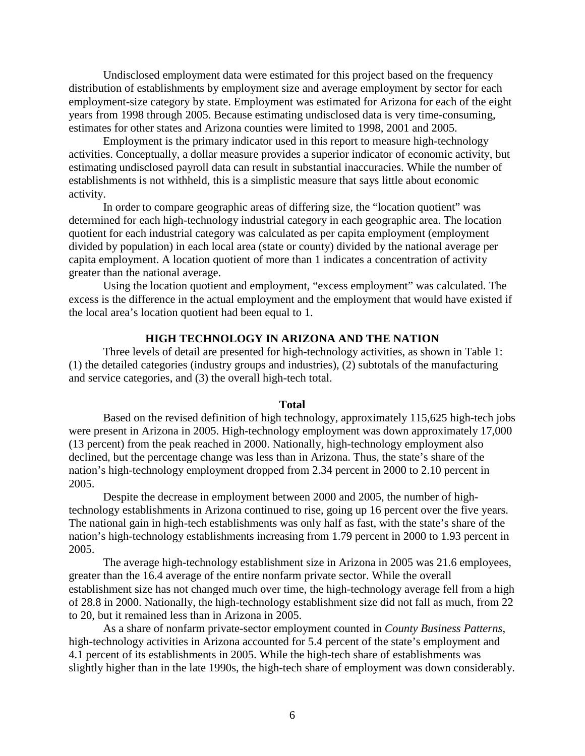Undisclosed employment data were estimated for this project based on the frequency distribution of establishments by employment size and average employment by sector for each employment-size category by state. Employment was estimated for Arizona for each of the eight years from 1998 through 2005. Because estimating undisclosed data is very time-consuming, estimates for other states and Arizona counties were limited to 1998, 2001 and 2005.

Employment is the primary indicator used in this report to measure high-technology activities. Conceptually, a dollar measure provides a superior indicator of economic activity, but estimating undisclosed payroll data can result in substantial inaccuracies. While the number of establishments is not withheld, this is a simplistic measure that says little about economic activity.

In order to compare geographic areas of differing size, the "location quotient" was determined for each high-technology industrial category in each geographic area. The location quotient for each industrial category was calculated as per capita employment (employment divided by population) in each local area (state or county) divided by the national average per capita employment. A location quotient of more than 1 indicates a concentration of activity greater than the national average.

Using the location quotient and employment, "excess employment" was calculated. The excess is the difference in the actual employment and the employment that would have existed if the local area's location quotient had been equal to 1.

## **HIGH TECHNOLOGY IN ARIZONA AND THE NATION**

Three levels of detail are presented for high-technology activities, as shown in Table 1: (1) the detailed categories (industry groups and industries), (2) subtotals of the manufacturing and service categories, and (3) the overall high-tech total.

### **Total**

Based on the revised definition of high technology, approximately 115,625 high-tech jobs were present in Arizona in 2005. High-technology employment was down approximately 17,000 (13 percent) from the peak reached in 2000. Nationally, high-technology employment also declined, but the percentage change was less than in Arizona. Thus, the state's share of the nation's high-technology employment dropped from 2.34 percent in 2000 to 2.10 percent in 2005.

Despite the decrease in employment between 2000 and 2005, the number of hightechnology establishments in Arizona continued to rise, going up 16 percent over the five years. The national gain in high-tech establishments was only half as fast, with the state's share of the nation's high-technology establishments increasing from 1.79 percent in 2000 to 1.93 percent in 2005.

The average high-technology establishment size in Arizona in 2005 was 21.6 employees, greater than the 16.4 average of the entire nonfarm private sector. While the overall establishment size has not changed much over time, the high-technology average fell from a high of 28.8 in 2000. Nationally, the high-technology establishment size did not fall as much, from 22 to 20, but it remained less than in Arizona in 2005.

As a share of nonfarm private-sector employment counted in *County Business Patterns*, high-technology activities in Arizona accounted for 5.4 percent of the state's employment and 4.1 percent of its establishments in 2005. While the high-tech share of establishments was slightly higher than in the late 1990s, the high-tech share of employment was down considerably.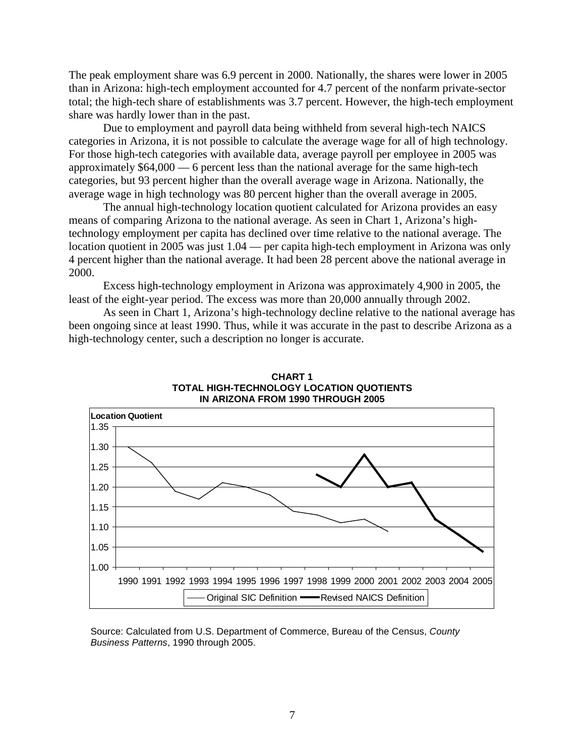The peak employment share was 6.9 percent in 2000. Nationally, the shares were lower in 2005 than in Arizona: high-tech employment accounted for 4.7 percent of the nonfarm private-sector total; the high-tech share of establishments was 3.7 percent. However, the high-tech employment share was hardly lower than in the past.

Due to employment and payroll data being withheld from several high-tech NAICS categories in Arizona, it is not possible to calculate the average wage for all of high technology. For those high-tech categories with available data, average payroll per employee in 2005 was approximately \$64,000 — 6 percent less than the national average for the same high-tech categories, but 93 percent higher than the overall average wage in Arizona. Nationally, the average wage in high technology was 80 percent higher than the overall average in 2005.

The annual high-technology location quotient calculated for Arizona provides an easy means of comparing Arizona to the national average. As seen in Chart 1, Arizona's hightechnology employment per capita has declined over time relative to the national average. The location quotient in 2005 was just 1.04 — per capita high-tech employment in Arizona was only 4 percent higher than the national average. It had been 28 percent above the national average in 2000.

Excess high-technology employment in Arizona was approximately 4,900 in 2005, the least of the eight-year period. The excess was more than 20,000 annually through 2002.

As seen in Chart 1, Arizona's high-technology decline relative to the national average has been ongoing since at least 1990. Thus, while it was accurate in the past to describe Arizona as a high-technology center, such a description no longer is accurate.





Source: Calculated from U.S. Department of Commerce, Bureau of the Census, *County Business Patterns*, 1990 through 2005.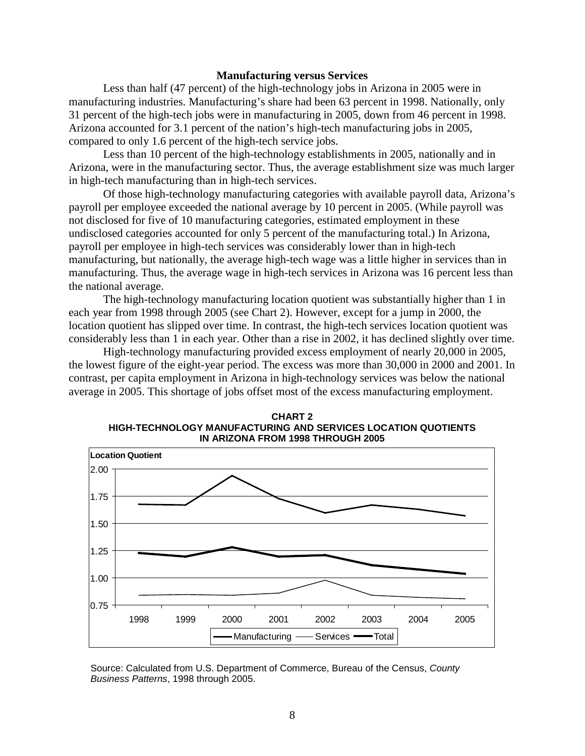## **Manufacturing versus Services**

Less than half (47 percent) of the high-technology jobs in Arizona in 2005 were in manufacturing industries. Manufacturing's share had been 63 percent in 1998. Nationally, only 31 percent of the high-tech jobs were in manufacturing in 2005, down from 46 percent in 1998. Arizona accounted for 3.1 percent of the nation's high-tech manufacturing jobs in 2005, compared to only 1.6 percent of the high-tech service jobs.

Less than 10 percent of the high-technology establishments in 2005, nationally and in Arizona, were in the manufacturing sector. Thus, the average establishment size was much larger in high-tech manufacturing than in high-tech services.

Of those high-technology manufacturing categories with available payroll data, Arizona's payroll per employee exceeded the national average by 10 percent in 2005. (While payroll was not disclosed for five of 10 manufacturing categories, estimated employment in these undisclosed categories accounted for only 5 percent of the manufacturing total.) In Arizona, payroll per employee in high-tech services was considerably lower than in high-tech manufacturing, but nationally, the average high-tech wage was a little higher in services than in manufacturing. Thus, the average wage in high-tech services in Arizona was 16 percent less than the national average.

The high-technology manufacturing location quotient was substantially higher than 1 in each year from 1998 through 2005 (see Chart 2). However, except for a jump in 2000, the location quotient has slipped over time. In contrast, the high-tech services location quotient was considerably less than 1 in each year. Other than a rise in 2002, it has declined slightly over time.

High-technology manufacturing provided excess employment of nearly 20,000 in 2005, the lowest figure of the eight-year period. The excess was more than 30,000 in 2000 and 2001. In contrast, per capita employment in Arizona in high-technology services was below the national average in 2005. This shortage of jobs offset most of the excess manufacturing employment.



**CHART 2 HIGH-TECHNOLOGY MANUFACTURING AND SERVICES LOCATION QUOTIENTS IN ARIZONA FROM 1998 THROUGH 2005**

Source: Calculated from U.S. Department of Commerce, Bureau of the Census, *County Business Patterns*, 1998 through 2005.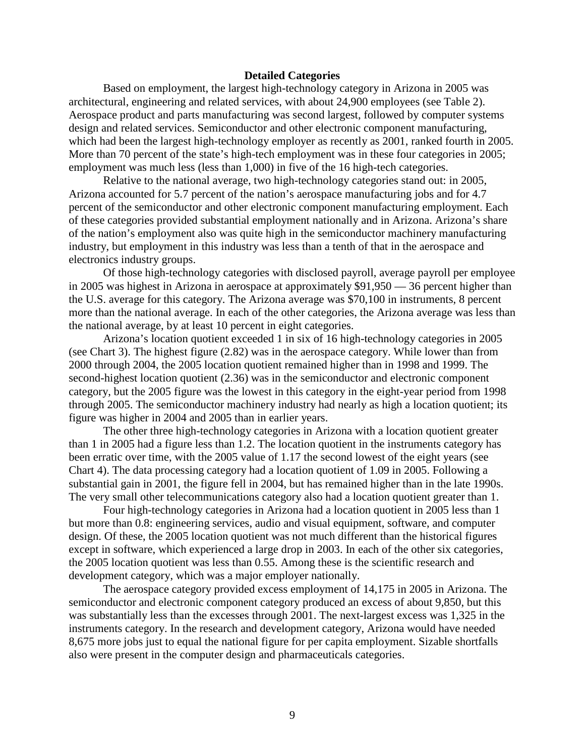## **Detailed Categories**

Based on employment, the largest high-technology category in Arizona in 2005 was architectural, engineering and related services, with about 24,900 employees (see Table 2). Aerospace product and parts manufacturing was second largest, followed by computer systems design and related services. Semiconductor and other electronic component manufacturing, which had been the largest high-technology employer as recently as 2001, ranked fourth in 2005. More than 70 percent of the state's high-tech employment was in these four categories in 2005; employment was much less (less than 1,000) in five of the 16 high-tech categories.

Relative to the national average, two high-technology categories stand out: in 2005, Arizona accounted for 5.7 percent of the nation's aerospace manufacturing jobs and for 4.7 percent of the semiconductor and other electronic component manufacturing employment. Each of these categories provided substantial employment nationally and in Arizona. Arizona's share of the nation's employment also was quite high in the semiconductor machinery manufacturing industry, but employment in this industry was less than a tenth of that in the aerospace and electronics industry groups.

Of those high-technology categories with disclosed payroll, average payroll per employee in 2005 was highest in Arizona in aerospace at approximately \$91,950 — 36 percent higher than the U.S. average for this category. The Arizona average was \$70,100 in instruments, 8 percent more than the national average. In each of the other categories, the Arizona average was less than the national average, by at least 10 percent in eight categories.

Arizona's location quotient exceeded 1 in six of 16 high-technology categories in 2005 (see Chart 3). The highest figure (2.82) was in the aerospace category. While lower than from 2000 through 2004, the 2005 location quotient remained higher than in 1998 and 1999. The second-highest location quotient (2.36) was in the semiconductor and electronic component category, but the 2005 figure was the lowest in this category in the eight-year period from 1998 through 2005. The semiconductor machinery industry had nearly as high a location quotient; its figure was higher in 2004 and 2005 than in earlier years.

The other three high-technology categories in Arizona with a location quotient greater than 1 in 2005 had a figure less than 1.2. The location quotient in the instruments category has been erratic over time, with the 2005 value of 1.17 the second lowest of the eight years (see Chart 4). The data processing category had a location quotient of 1.09 in 2005. Following a substantial gain in 2001, the figure fell in 2004, but has remained higher than in the late 1990s. The very small other telecommunications category also had a location quotient greater than 1.

Four high-technology categories in Arizona had a location quotient in 2005 less than 1 but more than 0.8: engineering services, audio and visual equipment, software, and computer design. Of these, the 2005 location quotient was not much different than the historical figures except in software, which experienced a large drop in 2003. In each of the other six categories, the 2005 location quotient was less than 0.55. Among these is the scientific research and development category, which was a major employer nationally.

The aerospace category provided excess employment of 14,175 in 2005 in Arizona. The semiconductor and electronic component category produced an excess of about 9,850, but this was substantially less than the excesses through 2001. The next-largest excess was 1,325 in the instruments category. In the research and development category, Arizona would have needed 8,675 more jobs just to equal the national figure for per capita employment. Sizable shortfalls also were present in the computer design and pharmaceuticals categories.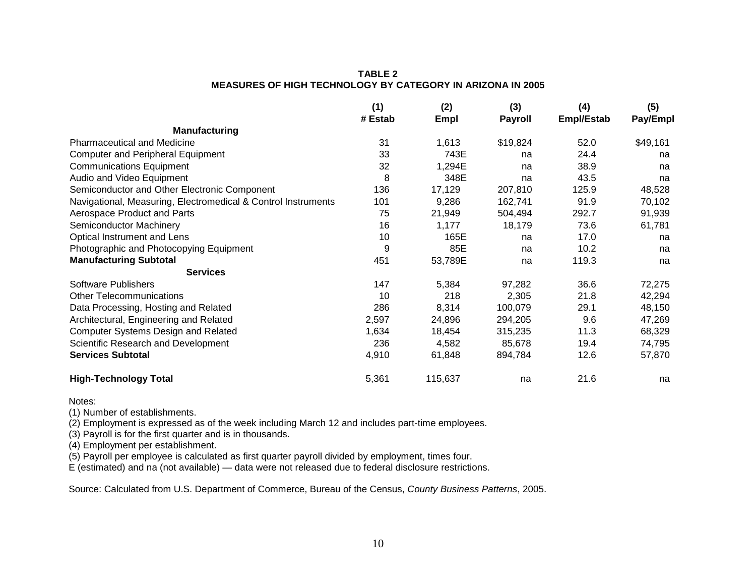## **TABLE 2 MEASURES OF HIGH TECHNOLOGY BY CATEGORY IN ARIZONA IN 2005**

|                                                               | (1)<br># Estab | (2)<br>Empl | (3)<br><b>Payroll</b> | (4)<br>Empl/Estab | (5)<br>Pay/Empl |
|---------------------------------------------------------------|----------------|-------------|-----------------------|-------------------|-----------------|
| <b>Manufacturing</b>                                          |                |             |                       |                   |                 |
| <b>Pharmaceutical and Medicine</b>                            | 31             | 1,613       | \$19,824              | 52.0              | \$49,161        |
| <b>Computer and Peripheral Equipment</b>                      | 33             | 743E        | na                    | 24.4              | na              |
| <b>Communications Equipment</b>                               | 32             | 1,294E      | na                    | 38.9              | na              |
| Audio and Video Equipment                                     | 8              | 348E        | na                    | 43.5              | na              |
| Semiconductor and Other Electronic Component                  | 136            | 17,129      | 207,810               | 125.9             | 48,528          |
| Navigational, Measuring, Electromedical & Control Instruments | 101            | 9,286       | 162,741               | 91.9              | 70,102          |
| Aerospace Product and Parts                                   | 75             | 21,949      | 504,494               | 292.7             | 91,939          |
| Semiconductor Machinery                                       | 16             | 1,177       | 18,179                | 73.6              | 61,781          |
| Optical Instrument and Lens                                   | 10             | 165E        | na                    | 17.0              | na              |
| Photographic and Photocopying Equipment                       | 9              | 85E         | na                    | 10.2              | na              |
| <b>Manufacturing Subtotal</b>                                 | 451            | 53,789E     | na                    | 119.3             | na              |
| <b>Services</b>                                               |                |             |                       |                   |                 |
| Software Publishers                                           | 147            | 5,384       | 97,282                | 36.6              | 72,275          |
| <b>Other Telecommunications</b>                               | 10             | 218         | 2,305                 | 21.8              | 42,294          |
| Data Processing, Hosting and Related                          | 286            | 8,314       | 100,079               | 29.1              | 48,150          |
| Architectural, Engineering and Related                        | 2,597          | 24,896      | 294,205               | 9.6               | 47,269          |
| <b>Computer Systems Design and Related</b>                    | 1,634          | 18,454      | 315,235               | 11.3              | 68,329          |
| Scientific Research and Development                           | 236            | 4,582       | 85,678                | 19.4              | 74,795          |
| <b>Services Subtotal</b>                                      | 4,910          | 61,848      | 894,784               | 12.6              | 57,870          |
| <b>High-Technology Total</b>                                  | 5,361          | 115,637     | na                    | 21.6              | na              |

Notes:

(1) Number of establishments.

(2) Employment is expressed as of the week including March 12 and includes part-time employees.

(3) Payroll is for the first quarter and is in thousands.

(4) Employment per establishment.

(5) Payroll per employee is calculated as first quarter payroll divided by employment, times four.

E (estimated) and na (not available) — data were not released due to federal disclosure restrictions.

Source: Calculated from U.S. Department of Commerce, Bureau of the Census, *County Business Patterns*, 2005.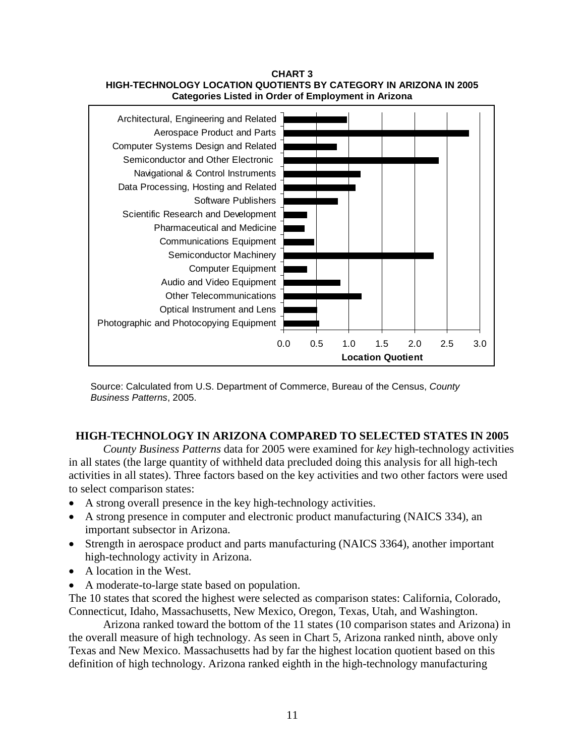



Source: Calculated from U.S. Department of Commerce, Bureau of the Census, *County Business Patterns*, 2005.

## **HIGH-TECHNOLOGY IN ARIZONA COMPARED TO SELECTED STATES IN 2005**

*County Business Patterns* data for 2005 were examined for *key* high-technology activities in all states (the large quantity of withheld data precluded doing this analysis for all high-tech activities in all states). Three factors based on the key activities and two other factors were used to select comparison states:

- A strong overall presence in the key high-technology activities.
- A strong presence in computer and electronic product manufacturing (NAICS 334), an important subsector in Arizona.
- Strength in aerospace product and parts manufacturing (NAICS 3364), another important high-technology activity in Arizona.
- A location in the West.
- A moderate-to-large state based on population.

The 10 states that scored the highest were selected as comparison states: California, Colorado, Connecticut, Idaho, Massachusetts, New Mexico, Oregon, Texas, Utah, and Washington.

Arizona ranked toward the bottom of the 11 states (10 comparison states and Arizona) in the overall measure of high technology. As seen in Chart 5, Arizona ranked ninth, above only Texas and New Mexico. Massachusetts had by far the highest location quotient based on this definition of high technology. Arizona ranked eighth in the high-technology manufacturing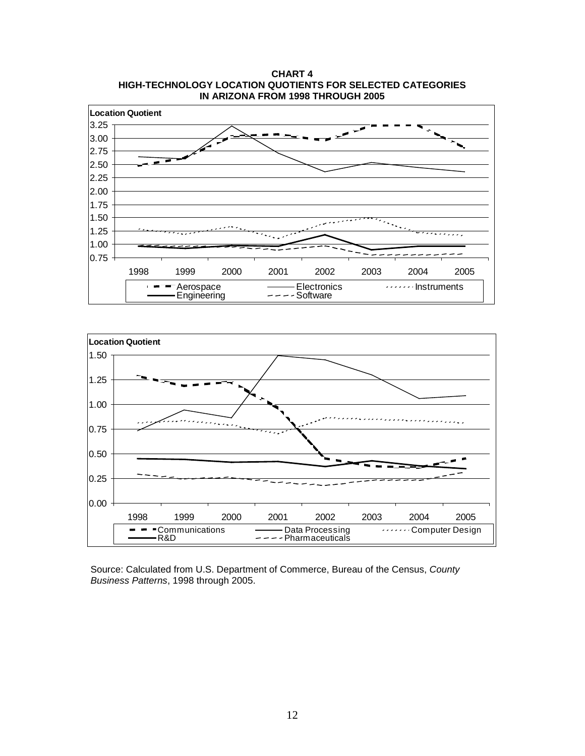**CHART 4 HIGH-TECHNOLOGY LOCATION QUOTIENTS FOR SELECTED CATEGORIES IN ARIZONA FROM 1998 THROUGH 2005**





Source: Calculated from U.S. Department of Commerce, Bureau of the Census, *County Business Patterns*, 1998 through 2005.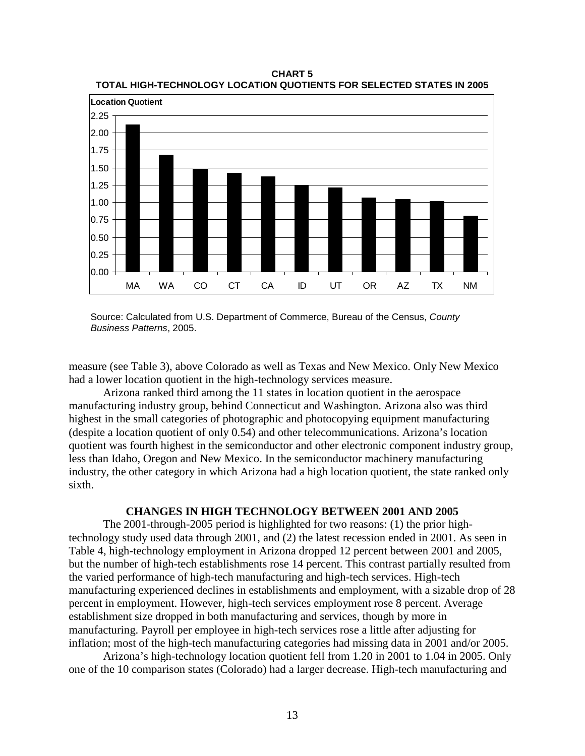

**CHART 5 TOTAL HIGH-TECHNOLOGY LOCATION QUOTIENTS FOR SELECTED STATES IN 2005**

Source: Calculated from U.S. Department of Commerce, Bureau of the Census, *County Business Patterns*, 2005.

measure (see Table 3), above Colorado as well as Texas and New Mexico. Only New Mexico had a lower location quotient in the high-technology services measure.

Arizona ranked third among the 11 states in location quotient in the aerospace manufacturing industry group, behind Connecticut and Washington. Arizona also was third highest in the small categories of photographic and photocopying equipment manufacturing (despite a location quotient of only 0.54) and other telecommunications. Arizona's location quotient was fourth highest in the semiconductor and other electronic component industry group, less than Idaho, Oregon and New Mexico. In the semiconductor machinery manufacturing industry, the other category in which Arizona had a high location quotient, the state ranked only sixth.

## **CHANGES IN HIGH TECHNOLOGY BETWEEN 2001 AND 2005**

The 2001-through-2005 period is highlighted for two reasons: (1) the prior hightechnology study used data through 2001, and (2) the latest recession ended in 2001. As seen in Table 4, high-technology employment in Arizona dropped 12 percent between 2001 and 2005, but the number of high-tech establishments rose 14 percent. This contrast partially resulted from the varied performance of high-tech manufacturing and high-tech services. High-tech manufacturing experienced declines in establishments and employment, with a sizable drop of 28 percent in employment. However, high-tech services employment rose 8 percent. Average establishment size dropped in both manufacturing and services, though by more in manufacturing. Payroll per employee in high-tech services rose a little after adjusting for inflation; most of the high-tech manufacturing categories had missing data in 2001 and/or 2005.

Arizona's high-technology location quotient fell from 1.20 in 2001 to 1.04 in 2005. Only one of the 10 comparison states (Colorado) had a larger decrease. High-tech manufacturing and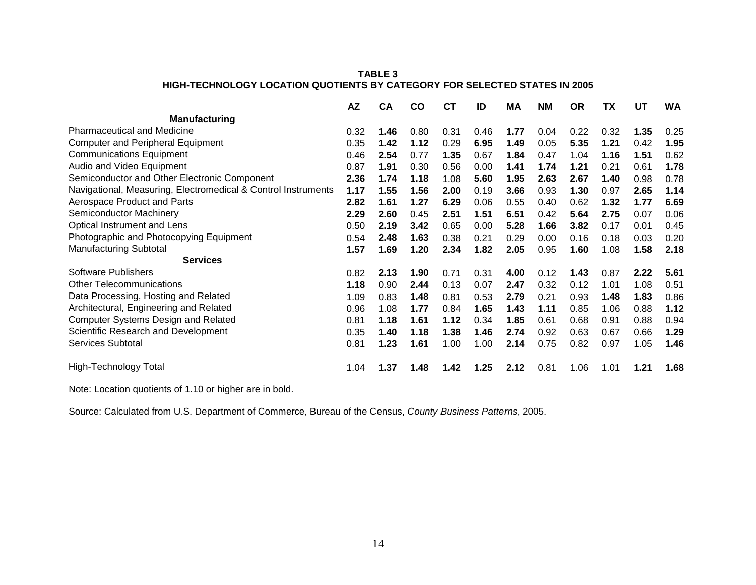## **TABLE 3 HIGH-TECHNOLOGY LOCATION QUOTIENTS BY CATEGORY FOR SELECTED STATES IN 2005**

|                                                               | <b>AZ</b> | <b>CA</b> | <b>CO</b> | <b>CT</b> | ID   | ΜA   | <b>NM</b> | <b>OR</b> | TΧ   | UT   | <b>WA</b> |
|---------------------------------------------------------------|-----------|-----------|-----------|-----------|------|------|-----------|-----------|------|------|-----------|
| <b>Manufacturing</b>                                          |           |           |           |           |      |      |           |           |      |      |           |
| <b>Pharmaceutical and Medicine</b>                            | 0.32      | 1.46      | 0.80      | 0.31      | 0.46 | 1.77 | 0.04      | 0.22      | 0.32 | 1.35 | 0.25      |
| <b>Computer and Peripheral Equipment</b>                      | 0.35      | 1.42      | 1.12      | 0.29      | 6.95 | 1.49 | 0.05      | 5.35      | 1.21 | 0.42 | 1.95      |
| <b>Communications Equipment</b>                               | 0.46      | 2.54      | 0.77      | 1.35      | 0.67 | 1.84 | 0.47      | 1.04      | 1.16 | 1.51 | 0.62      |
| Audio and Video Equipment                                     | 0.87      | 1.91      | 0.30      | 0.56      | 0.00 | 1.41 | 1.74      | 1.21      | 0.21 | 0.61 | 1.78      |
| Semiconductor and Other Electronic Component                  | 2.36      | 1.74      | 1.18      | 1.08      | 5.60 | 1.95 | 2.63      | 2.67      | 1.40 | 0.98 | 0.78      |
| Navigational, Measuring, Electromedical & Control Instruments | 1.17      | 1.55      | 1.56      | 2.00      | 0.19 | 3.66 | 0.93      | 1.30      | 0.97 | 2.65 | 1.14      |
| Aerospace Product and Parts                                   | 2.82      | 1.61      | 1.27      | 6.29      | 0.06 | 0.55 | 0.40      | 0.62      | 1.32 | 1.77 | 6.69      |
| Semiconductor Machinery                                       | 2.29      | 2.60      | 0.45      | 2.51      | 1.51 | 6.51 | 0.42      | 5.64      | 2.75 | 0.07 | 0.06      |
| Optical Instrument and Lens                                   | 0.50      | 2.19      | 3.42      | 0.65      | 0.00 | 5.28 | 1.66      | 3.82      | 0.17 | 0.01 | 0.45      |
| Photographic and Photocopying Equipment                       | 0.54      | 2.48      | 1.63      | 0.38      | 0.21 | 0.29 | 0.00      | 0.16      | 0.18 | 0.03 | 0.20      |
| <b>Manufacturing Subtotal</b>                                 | 1.57      | 1.69      | 1.20      | 2.34      | 1.82 | 2.05 | 0.95      | 1.60      | 1.08 | 1.58 | 2.18      |
| <b>Services</b>                                               |           |           |           |           |      |      |           |           |      |      |           |
| Software Publishers                                           | 0.82      | 2.13      | 1.90      | 0.71      | 0.31 | 4.00 | 0.12      | 1.43      | 0.87 | 2.22 | 5.61      |
| <b>Other Telecommunications</b>                               | 1.18      | 0.90      | 2.44      | 0.13      | 0.07 | 2.47 | 0.32      | 0.12      | 1.01 | 1.08 | 0.51      |
| Data Processing, Hosting and Related                          | 1.09      | 0.83      | 1.48      | 0.81      | 0.53 | 2.79 | 0.21      | 0.93      | 1.48 | 1.83 | 0.86      |
| Architectural, Engineering and Related                        | 0.96      | 1.08      | 1.77      | 0.84      | 1.65 | 1.43 | 1.11      | 0.85      | 1.06 | 0.88 | 1.12      |
| <b>Computer Systems Design and Related</b>                    | 0.81      | 1.18      | 1.61      | 1.12      | 0.34 | 1.85 | 0.61      | 0.68      | 0.91 | 0.88 | 0.94      |
| Scientific Research and Development                           | 0.35      | 1.40      | 1.18      | 1.38      | 1.46 | 2.74 | 0.92      | 0.63      | 0.67 | 0.66 | 1.29      |
| Services Subtotal                                             | 0.81      | 1.23      | 1.61      | 1.00      | 1.00 | 2.14 | 0.75      | 0.82      | 0.97 | 1.05 | 1.46      |
| <b>High-Technology Total</b>                                  | 1.04      | 1.37      | 1.48      | 1.42      | 1.25 | 2.12 | 0.81      | 1.06      | 1.01 | 1.21 | 1.68      |

Note: Location quotients of 1.10 or higher are in bold.

Source: Calculated from U.S. Department of Commerce, Bureau of the Census, *County Business Patterns*, 2005.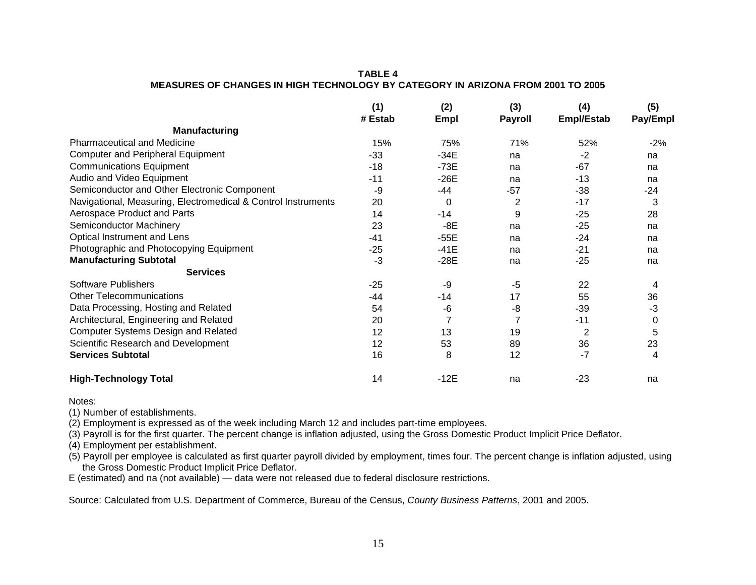## **TABLE 4 MEASURES OF CHANGES IN HIGH TECHNOLOGY BY CATEGORY IN ARIZONA FROM 2001 TO 2005**

|                                                               | (1)<br># Estab | (2)<br>Empl | (3)<br><b>Payroll</b> | (4)<br>Empl/Estab | (5)<br>Pay/Empl |
|---------------------------------------------------------------|----------------|-------------|-----------------------|-------------------|-----------------|
| Manufacturing                                                 |                |             |                       |                   |                 |
| <b>Pharmaceutical and Medicine</b>                            | 15%            | 75%         | 71%                   | 52%               | $-2%$           |
| <b>Computer and Peripheral Equipment</b>                      | $-33$          | $-34E$      | na                    | $-2$              | na              |
| <b>Communications Equipment</b>                               | $-18$          | $-73E$      | na                    | $-67$             | na              |
| Audio and Video Equipment                                     | $-11$          | $-26E$      | na                    | $-13$             | na              |
| Semiconductor and Other Electronic Component                  | -9             | -44         | -57                   | -38               | $-24$           |
| Navigational, Measuring, Electromedical & Control Instruments | 20             | 0           | 2                     | $-17$             | 3               |
| Aerospace Product and Parts                                   | 14             | $-14$       | 9                     | $-25$             | 28              |
| Semiconductor Machinery                                       | 23             | -8E         | na                    | $-25$             | na              |
| Optical Instrument and Lens                                   | $-41$          | $-55E$      | na                    | -24               | na              |
| Photographic and Photocopying Equipment                       | $-25$          | $-41E$      | na                    | $-21$             | na              |
| <b>Manufacturing Subtotal</b>                                 | $-3$           | $-28E$      | na                    | $-25$             | na              |
| <b>Services</b>                                               |                |             |                       |                   |                 |
| <b>Software Publishers</b>                                    | $-25$          | -9          | $-5$                  | 22                | 4               |
| <b>Other Telecommunications</b>                               | -44            | $-14$       | 17                    | 55                | 36              |
| Data Processing, Hosting and Related                          | 54             | -6          | -8                    | $-39$             | -3              |
| Architectural, Engineering and Related                        | 20             |             |                       | $-11$             | 0               |
| <b>Computer Systems Design and Related</b>                    | 12             | 13          | 19                    | $\overline{2}$    | 5               |
| Scientific Research and Development                           | 12             | 53          | 89                    | 36                | 23              |
| <b>Services Subtotal</b>                                      | 16             | 8           | 12                    | $-7$              | 4               |
| <b>High-Technology Total</b>                                  | 14             | $-12E$      | na                    | $-23$             | na              |

Notes:

(1) Number of establishments.

(2) Employment is expressed as of the week including March 12 and includes part-time employees.

(3) Payroll is for the first quarter. The percent change is inflation adjusted, using the Gross Domestic Product Implicit Price Deflator.

(4) Employment per establishment.

(5) Payroll per employee is calculated as first quarter payroll divided by employment, times four. The percent change is inflation adjusted, using the Gross Domestic Product Implicit Price Deflator.

E (estimated) and na (not available) — data were not released due to federal disclosure restrictions.

Source: Calculated from U.S. Department of Commerce, Bureau of the Census, *County Business Patterns*, 2001 and 2005.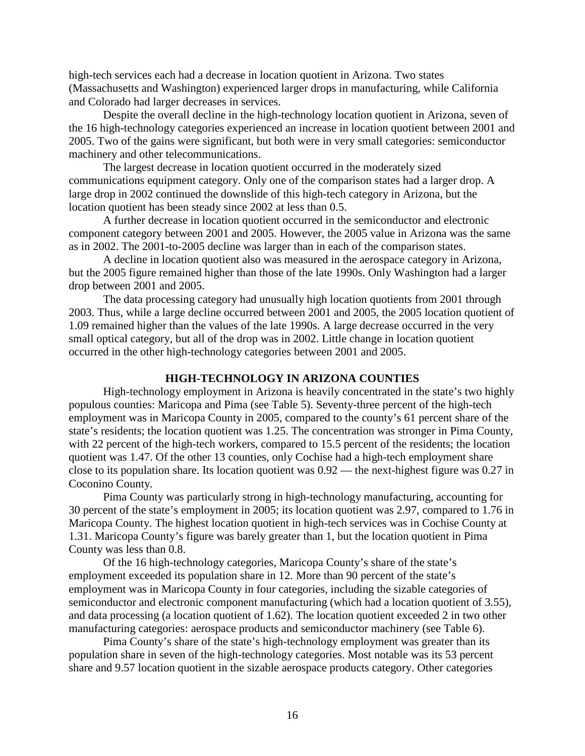high-tech services each had a decrease in location quotient in Arizona. Two states (Massachusetts and Washington) experienced larger drops in manufacturing, while California and Colorado had larger decreases in services.

Despite the overall decline in the high-technology location quotient in Arizona, seven of the 16 high-technology categories experienced an increase in location quotient between 2001 and 2005. Two of the gains were significant, but both were in very small categories: semiconductor machinery and other telecommunications.

The largest decrease in location quotient occurred in the moderately sized communications equipment category. Only one of the comparison states had a larger drop. A large drop in 2002 continued the downslide of this high-tech category in Arizona, but the location quotient has been steady since 2002 at less than 0.5.

A further decrease in location quotient occurred in the semiconductor and electronic component category between 2001 and 2005. However, the 2005 value in Arizona was the same as in 2002. The 2001-to-2005 decline was larger than in each of the comparison states.

A decline in location quotient also was measured in the aerospace category in Arizona, but the 2005 figure remained higher than those of the late 1990s. Only Washington had a larger drop between 2001 and 2005.

The data processing category had unusually high location quotients from 2001 through 2003. Thus, while a large decline occurred between 2001 and 2005, the 2005 location quotient of 1.09 remained higher than the values of the late 1990s. A large decrease occurred in the very small optical category, but all of the drop was in 2002. Little change in location quotient occurred in the other high-technology categories between 2001 and 2005.

## **HIGH-TECHNOLOGY IN ARIZONA COUNTIES**

High-technology employment in Arizona is heavily concentrated in the state's two highly populous counties: Maricopa and Pima (see Table 5). Seventy-three percent of the high-tech employment was in Maricopa County in 2005, compared to the county's 61 percent share of the state's residents; the location quotient was 1.25. The concentration was stronger in Pima County, with 22 percent of the high-tech workers, compared to 15.5 percent of the residents; the location quotient was 1.47. Of the other 13 counties, only Cochise had a high-tech employment share close to its population share. Its location quotient was 0.92 — the next-highest figure was 0.27 in Coconino County.

Pima County was particularly strong in high-technology manufacturing, accounting for 30 percent of the state's employment in 2005; its location quotient was 2.97, compared to 1.76 in Maricopa County. The highest location quotient in high-tech services was in Cochise County at 1.31. Maricopa County's figure was barely greater than 1, but the location quotient in Pima County was less than 0.8.

Of the 16 high-technology categories, Maricopa County's share of the state's employment exceeded its population share in 12. More than 90 percent of the state's employment was in Maricopa County in four categories, including the sizable categories of semiconductor and electronic component manufacturing (which had a location quotient of 3.55), and data processing (a location quotient of 1.62). The location quotient exceeded 2 in two other manufacturing categories: aerospace products and semiconductor machinery (see Table 6).

Pima County's share of the state's high-technology employment was greater than its population share in seven of the high-technology categories. Most notable was its 53 percent share and 9.57 location quotient in the sizable aerospace products category. Other categories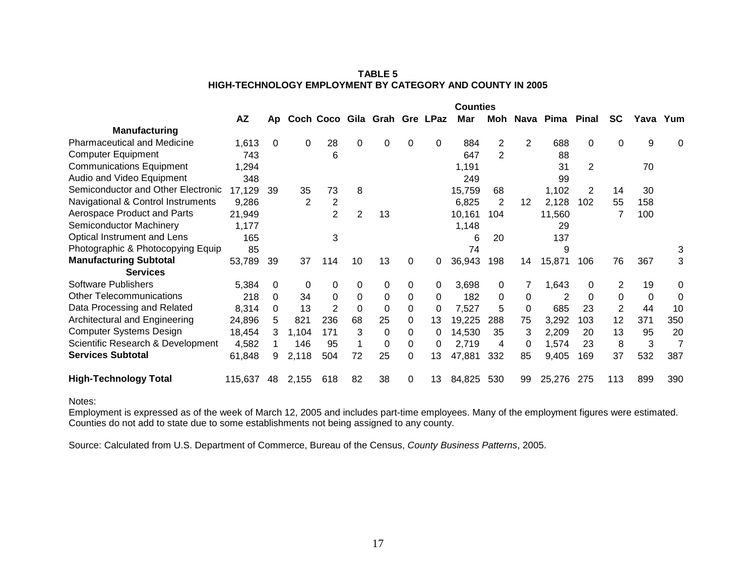| <b>TABLE 5</b>                                                   |
|------------------------------------------------------------------|
| <b>HIGH-TECHNOLOGY EMPLOYMENT BY CATEGORY AND COUNTY IN 2005</b> |

|                                    |         |    |              |                              |             |          |          |          | <b>Counties</b> |     |          |                 |          |           |          |     |
|------------------------------------|---------|----|--------------|------------------------------|-------------|----------|----------|----------|-----------------|-----|----------|-----------------|----------|-----------|----------|-----|
|                                    | AZ      | Ap |              | Coch Coco Gila Grah Gre LPaz |             |          |          |          | Mar             | Moh |          | Nava Pima Pinal |          | <b>SC</b> | Yava Yum |     |
| <b>Manufacturing</b>               |         |    |              |                              |             |          |          |          |                 |     |          |                 |          |           |          |     |
| <b>Pharmaceutical and Medicine</b> | 1,613   | 0  | 0            | 28                           | $\Omega$    | $\Omega$ | 0        | $\Omega$ | 884             | 2   | 2        | 688             | $\Omega$ | $\Omega$  | 9        | 0   |
| <b>Computer Equipment</b>          | 743     |    |              | 6                            |             |          |          |          | 647             | 2   |          | 88              |          |           |          |     |
| <b>Communications Equipment</b>    | 1,294   |    |              |                              |             |          |          |          | 1,191           |     |          | 31              | 2        |           | 70       |     |
| Audio and Video Equipment          | 348     |    |              |                              |             |          |          |          | 249             |     |          | 99              |          |           |          |     |
| Semiconductor and Other Electronic | 17,129  | 39 | 35           | 73                           | 8           |          |          |          | 15,759          | 68  |          | 1,102           | 2        | 14        | 30       |     |
| Navigational & Control Instruments | 9,286   |    | $\mathbf{2}$ | $\overline{2}$               |             |          |          |          | 6,825           | 2   | 12       | 2,128           | 102      | 55        | 158      |     |
| Aerospace Product and Parts        | 21,949  |    |              | $\overline{2}$               | 2           | 13       |          |          | 10,161          | 104 |          | 11,560          |          |           | 100      |     |
| Semiconductor Machinery            | 1,177   |    |              |                              |             |          |          |          | 1,148           |     |          | 29              |          |           |          |     |
| Optical Instrument and Lens        | 165     |    |              | 3                            |             |          |          |          | 6               | 20  |          | 137             |          |           |          |     |
| Photographic & Photocopying Equip  | 85      |    |              |                              |             |          |          |          | 74              |     |          | 9               |          |           |          | 3   |
| <b>Manufacturing Subtotal</b>      | 53,789  | 39 | 37           | 114                          | 10          | 13       | $\Omega$ | 0        | 36,943          | 198 | 14       | 15,871          | 106      | 76        | 367      | 3   |
| <b>Services</b>                    |         |    |              |                              |             |          |          |          |                 |     |          |                 |          |           |          |     |
| <b>Software Publishers</b>         | 5,384   | 0  | 0            | 0                            | $\Omega$    | 0        | 0        | $\Omega$ | 3,698           | 0   |          | 1,643           | 0        | 2         | 19       | 0   |
| <b>Other Telecommunications</b>    | 218     | 0  | 34           | 0                            | $\mathbf 0$ | 0        | 0        | 0        | 182             | 0   | 0        | 2               | $\Omega$ | $\Omega$  | 0        | 0   |
| Data Processing and Related        | 8,314   | 0  | 13           | $\overline{2}$               | $\Omega$    | 0        | 0        | 0        | 7,527           | 5   | $\Omega$ | 685             | 23       | 2         | 44       | 10  |
| Architectural and Engineering      | 24,896  | 5  | 821          | 236                          | 68          | 25       | 0        | 13       | 19,225          | 288 | 75       | 3,292           | 103      | 12        | 371      | 350 |
| <b>Computer Systems Design</b>     | 18,454  | 3  | 1,104        | 171                          | 3           | 0        | 0        | 0        | 14,530          | 35  | 3        | 2,209           | 20       | 13        | 95       | 20  |
| Scientific Research & Development  | 4,582   |    | 146          | 95                           |             | 0        | 0        | 0        | 2,719           | 4   | 0        | 1,574           | 23       | 8         | 3        | 7   |
| <b>Services Subtotal</b>           | 61,848  | 9  | 2,118        | 504                          | 72          | 25       | 0        | 13       | 47,881          | 332 | 85       | 9,405           | 169      | 37        | 532      | 387 |
| <b>High-Technology Total</b>       | 115,637 | 48 | 2,155        | 618                          | 82          | 38       | 0        | 13       | 84,825          | 530 | 99       | 25,276          | 275      | 113       | 899      | 390 |

Notes:

Employment is expressed as of the week of March 12, 2005 and includes part-time employees. Many of the employment figures were estimated. Counties do not add to state due to some establishments not being assigned to any county.

Source: Calculated from U.S. Department of Commerce, Bureau of the Census, *County Business Patterns*, 2005.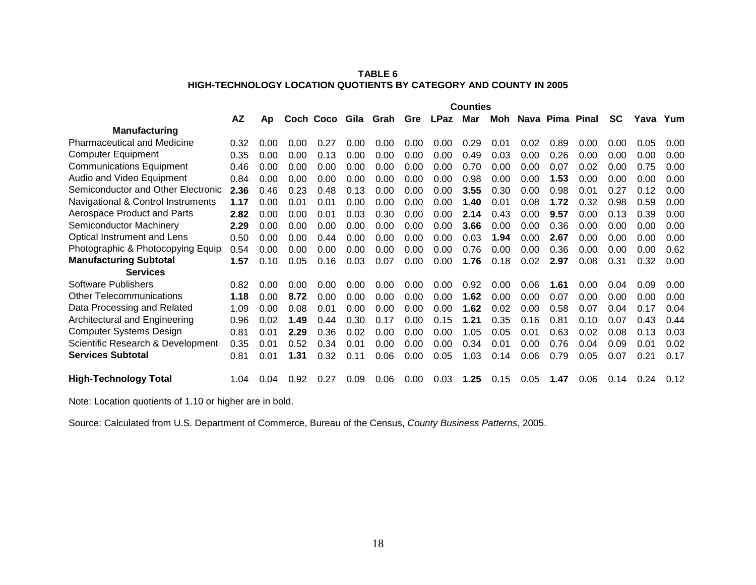## **TABLE 6 HIGH-TECHNOLOGY LOCATION QUOTIENTS BY CATEGORY AND COUNTY IN 2005**

|                                    | <b>Counties</b> |      |      |                |      |      |      |             |      |      |      |                 |      |           |      |      |
|------------------------------------|-----------------|------|------|----------------|------|------|------|-------------|------|------|------|-----------------|------|-----------|------|------|
|                                    | <b>AZ</b>       | Ap   |      | Coch Coco Gila |      | Grah | Gre  | <b>LPaz</b> | Mar  | Moh  |      | Nava Pima Pinal |      | <b>SC</b> | Yava | Yum  |
| <b>Manufacturing</b>               |                 |      |      |                |      |      |      |             |      |      |      |                 |      |           |      |      |
| <b>Pharmaceutical and Medicine</b> | 0.32            | 0.00 | 0.00 | 0.27           | 0.00 | 0.00 | 0.00 | 0.00        | 0.29 | 0.01 | 0.02 | 0.89            | 0.00 | 0.00      | 0.05 | 0.00 |
| <b>Computer Equipment</b>          | 0.35            | 0.00 | 0.00 | 0.13           | 0.00 | 0.00 | 0.00 | 0.00        | 0.49 | 0.03 | 0.00 | 0.26            | 0.00 | 0.00      | 0.00 | 0.00 |
| <b>Communications Equipment</b>    | 0.46            | 0.00 | 0.00 | 0.00           | 0.00 | 0.00 | 0.00 | 0.00        | 0.70 | 0.00 | 0.00 | 0.07            | 0.02 | 0.00      | 0.75 | 0.00 |
| Audio and Video Equipment          | 0.84            | 0.00 | 0.00 | 0.00           | 0.00 | 0.00 | 0.00 | 0.00        | 0.98 | 0.00 | 0.00 | 1.53            | 0.00 | 0.00      | 0.00 | 0.00 |
| Semiconductor and Other Electronic | 2.36            | 0.46 | 0.23 | 0.48           | 0.13 | 0.00 | 0.00 | 0.00        | 3.55 | 0.30 | 0.00 | 0.98            | 0.01 | 0.27      | 0.12 | 0.00 |
| Navigational & Control Instruments | 1.17            | 0.00 | 0.01 | 0.01           | 0.00 | 0.00 | 0.00 | 0.00        | 1.40 | 0.01 | 0.08 | 1.72            | 0.32 | 0.98      | 0.59 | 0.00 |
| Aerospace Product and Parts        | 2.82            | 0.00 | 0.00 | 0.01           | 0.03 | 0.30 | 0.00 | 0.00        | 2.14 | 0.43 | 0.00 | 9.57            | 0.00 | 0.13      | 0.39 | 0.00 |
| Semiconductor Machinery            | 2.29            | 0.00 | 0.00 | 0.00           | 0.00 | 0.00 | 0.00 | 0.00        | 3.66 | 0.00 | 0.00 | 0.36            | 0.00 | 0.00      | 0.00 | 0.00 |
| Optical Instrument and Lens        | 0.50            | 0.00 | 0.00 | 0.44           | 0.00 | 0.00 | 0.00 | 0.00        | 0.03 | 1.94 | 0.00 | 2.67            | 0.00 | 0.00      | 0.00 | 0.00 |
| Photographic & Photocopying Equip  | 0.54            | 0.00 | 0.00 | 0.00           | 0.00 | 0.00 | 0.00 | 0.00        | 0.76 | 0.00 | 0.00 | 0.36            | 0.00 | 0.00      | 0.00 | 0.62 |
| <b>Manufacturing Subtotal</b>      | 1.57            | 0.10 | 0.05 | 0.16           | 0.03 | 0.07 | 0.00 | 0.00        | 1.76 | 0.18 | 0.02 | 2.97            | 0.08 | 0.31      | 0.32 | 0.00 |
| <b>Services</b>                    |                 |      |      |                |      |      |      |             |      |      |      |                 |      |           |      |      |
| <b>Software Publishers</b>         | 0.82            | 0.00 | 0.00 | 0.00           | 0.00 | 0.00 | 0.00 | 0.00        | 0.92 | 0.00 | 0.06 | 1.61            | 0.00 | 0.04      | 0.09 | 0.00 |
| <b>Other Telecommunications</b>    | 1.18            | 0.00 | 8.72 | 0.00           | 0.00 | 0.00 | 0.00 | 0.00        | 1.62 | 0.00 | 0.00 | 0.07            | 0.00 | 0.00      | 0.00 | 0.00 |
| Data Processing and Related        | 1.09            | 0.00 | 0.08 | 0.01           | 0.00 | 0.00 | 0.00 | 0.00        | 1.62 | 0.02 | 0.00 | 0.58            | 0.07 | 0.04      | 0.17 | 0.04 |
| Architectural and Engineering      | 0.96            | 0.02 | 1.49 | 0.44           | 0.30 | 0.17 | 0.00 | 0.15        | 1.21 | 0.35 | 0.16 | 0.81            | 0.10 | 0.07      | 0.43 | 0.44 |
| <b>Computer Systems Design</b>     | 0.81            | 0.01 | 2.29 | 0.36           | 0.02 | 0.00 | 0.00 | 0.00        | 1.05 | 0.05 | 0.01 | 0.63            | 0.02 | 0.08      | 0.13 | 0.03 |
| Scientific Research & Development  | 0.35            | 0.01 | 0.52 | 0.34           | 0.01 | 0.00 | 0.00 | 0.00        | 0.34 | 0.01 | 0.00 | 0.76            | 0.04 | 0.09      | 0.01 | 0.02 |
| <b>Services Subtotal</b>           | 0.81            | 0.01 | 1.31 | 0.32           | 0.11 | 0.06 | 0.00 | 0.05        | 1.03 | 0.14 | 0.06 | 0.79            | 0.05 | 0.07      | 0.21 | 0.17 |
| <b>High-Technology Total</b>       | 1.04            | 0.04 | 0.92 | 0.27           | 0.09 | 0.06 | 0.00 | 0.03        | 1.25 | 0.15 | 0.05 | 1.47            | 0.06 | 0.14      | 0.24 | 0.12 |

Note: Location quotients of 1.10 or higher are in bold.

Source: Calculated from U.S. Department of Commerce, Bureau of the Census, *County Business Patterns*, 2005.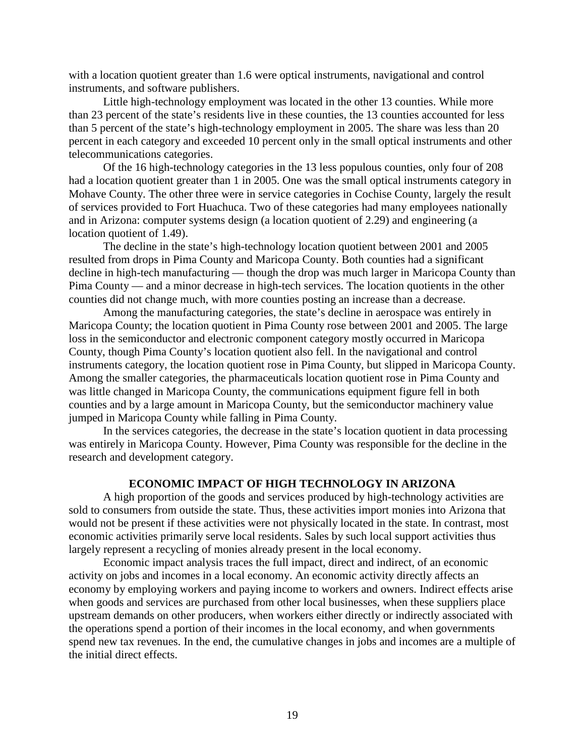with a location quotient greater than 1.6 were optical instruments, navigational and control instruments, and software publishers.

Little high-technology employment was located in the other 13 counties. While more than 23 percent of the state's residents live in these counties, the 13 counties accounted for less than 5 percent of the state's high-technology employment in 2005. The share was less than 20 percent in each category and exceeded 10 percent only in the small optical instruments and other telecommunications categories.

Of the 16 high-technology categories in the 13 less populous counties, only four of 208 had a location quotient greater than 1 in 2005. One was the small optical instruments category in Mohave County. The other three were in service categories in Cochise County, largely the result of services provided to Fort Huachuca. Two of these categories had many employees nationally and in Arizona: computer systems design (a location quotient of 2.29) and engineering (a location quotient of 1.49).

The decline in the state's high-technology location quotient between 2001 and 2005 resulted from drops in Pima County and Maricopa County. Both counties had a significant decline in high-tech manufacturing — though the drop was much larger in Maricopa County than Pima County — and a minor decrease in high-tech services. The location quotients in the other counties did not change much, with more counties posting an increase than a decrease.

Among the manufacturing categories, the state's decline in aerospace was entirely in Maricopa County; the location quotient in Pima County rose between 2001 and 2005. The large loss in the semiconductor and electronic component category mostly occurred in Maricopa County, though Pima County's location quotient also fell. In the navigational and control instruments category, the location quotient rose in Pima County, but slipped in Maricopa County. Among the smaller categories, the pharmaceuticals location quotient rose in Pima County and was little changed in Maricopa County, the communications equipment figure fell in both counties and by a large amount in Maricopa County, but the semiconductor machinery value jumped in Maricopa County while falling in Pima County.

In the services categories, the decrease in the state's location quotient in data processing was entirely in Maricopa County. However, Pima County was responsible for the decline in the research and development category.

## **ECONOMIC IMPACT OF HIGH TECHNOLOGY IN ARIZONA**

A high proportion of the goods and services produced by high-technology activities are sold to consumers from outside the state. Thus, these activities import monies into Arizona that would not be present if these activities were not physically located in the state. In contrast, most economic activities primarily serve local residents. Sales by such local support activities thus largely represent a recycling of monies already present in the local economy.

Economic impact analysis traces the full impact, direct and indirect, of an economic activity on jobs and incomes in a local economy. An economic activity directly affects an economy by employing workers and paying income to workers and owners. Indirect effects arise when goods and services are purchased from other local businesses, when these suppliers place upstream demands on other producers, when workers either directly or indirectly associated with the operations spend a portion of their incomes in the local economy, and when governments spend new tax revenues. In the end, the cumulative changes in jobs and incomes are a multiple of the initial direct effects.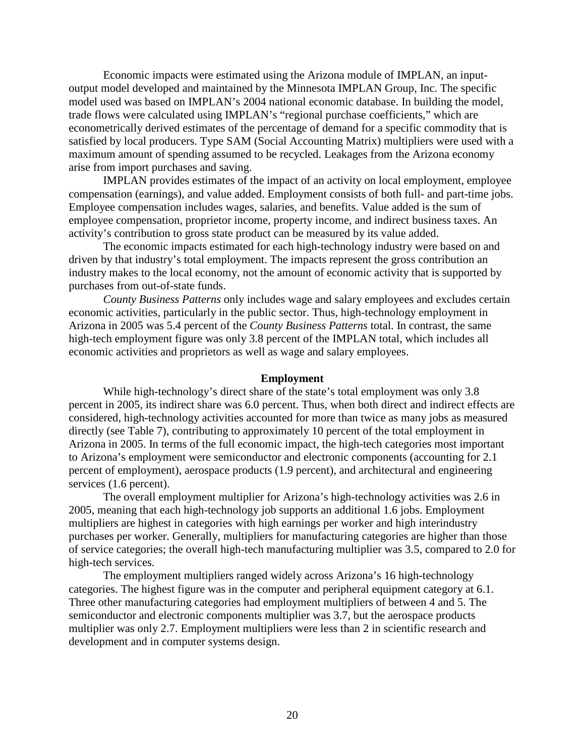Economic impacts were estimated using the Arizona module of IMPLAN, an inputoutput model developed and maintained by the Minnesota IMPLAN Group, Inc. The specific model used was based on IMPLAN's 2004 national economic database. In building the model, trade flows were calculated using IMPLAN's "regional purchase coefficients," which are econometrically derived estimates of the percentage of demand for a specific commodity that is satisfied by local producers. Type SAM (Social Accounting Matrix) multipliers were used with a maximum amount of spending assumed to be recycled. Leakages from the Arizona economy arise from import purchases and saving.

IMPLAN provides estimates of the impact of an activity on local employment, employee compensation (earnings), and value added. Employment consists of both full- and part-time jobs. Employee compensation includes wages, salaries, and benefits. Value added is the sum of employee compensation, proprietor income, property income, and indirect business taxes. An activity's contribution to gross state product can be measured by its value added.

The economic impacts estimated for each high-technology industry were based on and driven by that industry's total employment. The impacts represent the gross contribution an industry makes to the local economy, not the amount of economic activity that is supported by purchases from out-of-state funds.

*County Business Patterns* only includes wage and salary employees and excludes certain economic activities, particularly in the public sector. Thus, high-technology employment in Arizona in 2005 was 5.4 percent of the *County Business Patterns* total. In contrast, the same high-tech employment figure was only 3.8 percent of the IMPLAN total, which includes all economic activities and proprietors as well as wage and salary employees.

## **Employment**

While high-technology's direct share of the state's total employment was only 3.8 percent in 2005, its indirect share was 6.0 percent. Thus, when both direct and indirect effects are considered, high-technology activities accounted for more than twice as many jobs as measured directly (see Table 7), contributing to approximately 10 percent of the total employment in Arizona in 2005. In terms of the full economic impact, the high-tech categories most important to Arizona's employment were semiconductor and electronic components (accounting for 2.1 percent of employment), aerospace products (1.9 percent), and architectural and engineering services (1.6 percent).

The overall employment multiplier for Arizona's high-technology activities was 2.6 in 2005, meaning that each high-technology job supports an additional 1.6 jobs. Employment multipliers are highest in categories with high earnings per worker and high interindustry purchases per worker. Generally, multipliers for manufacturing categories are higher than those of service categories; the overall high-tech manufacturing multiplier was 3.5, compared to 2.0 for high-tech services.

The employment multipliers ranged widely across Arizona's 16 high-technology categories. The highest figure was in the computer and peripheral equipment category at 6.1. Three other manufacturing categories had employment multipliers of between 4 and 5. The semiconductor and electronic components multiplier was 3.7, but the aerospace products multiplier was only 2.7. Employment multipliers were less than 2 in scientific research and development and in computer systems design.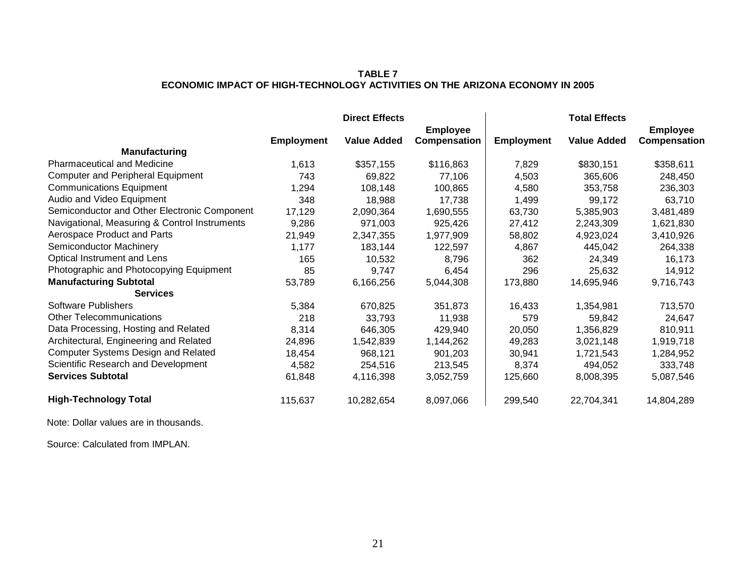## **TABLE 7 ECONOMIC IMPACT OF HIGH-TECHNOLOGY ACTIVITIES ON THE ARIZONA ECONOMY IN 2005**

|                                               |                   | <b>Direct Effects</b> |                 |                   | <b>Total Effects</b> |                 |
|-----------------------------------------------|-------------------|-----------------------|-----------------|-------------------|----------------------|-----------------|
|                                               |                   |                       | <b>Employee</b> |                   |                      | <b>Employee</b> |
|                                               | <b>Employment</b> | <b>Value Added</b>    | Compensation    | <b>Employment</b> | <b>Value Added</b>   | Compensation    |
| <b>Manufacturing</b>                          |                   |                       |                 |                   |                      |                 |
| <b>Pharmaceutical and Medicine</b>            | 1,613             | \$357,155             | \$116,863       | 7,829             | \$830,151            | \$358,611       |
| <b>Computer and Peripheral Equipment</b>      | 743               | 69,822                | 77,106          | 4,503             | 365,606              | 248,450         |
| <b>Communications Equipment</b>               | 1,294             | 108,148               | 100,865         | 4,580             | 353,758              | 236,303         |
| Audio and Video Equipment                     | 348               | 18,988                | 17,738          | 1,499             | 99,172               | 63,710          |
| Semiconductor and Other Electronic Component  | 17,129            | 2,090,364             | 1,690,555       | 63,730            | 5,385,903            | 3,481,489       |
| Navigational, Measuring & Control Instruments | 9,286             | 971,003               | 925,426         | 27,412            | 2,243,309            | 1,621,830       |
| Aerospace Product and Parts                   | 21,949            | 2,347,355             | 1,977,909       | 58,802            | 4,923,024            | 3,410,926       |
| Semiconductor Machinery                       | 1,177             | 183,144               | 122,597         | 4,867             | 445,042              | 264,338         |
| Optical Instrument and Lens                   | 165               | 10,532                | 8,796           | 362               | 24,349               | 16,173          |
| Photographic and Photocopying Equipment       | 85                | 9,747                 | 6,454           | 296               | 25,632               | 14,912          |
| <b>Manufacturing Subtotal</b>                 | 53,789            | 6,166,256             | 5,044,308       | 173,880           | 14,695,946           | 9,716,743       |
| <b>Services</b>                               |                   |                       |                 |                   |                      |                 |
| Software Publishers                           | 5,384             | 670,825               | 351,873         | 16,433            | 1,354,981            | 713,570         |
| <b>Other Telecommunications</b>               | 218               | 33,793                | 11,938          | 579               | 59,842               | 24,647          |
| Data Processing, Hosting and Related          | 8,314             | 646,305               | 429,940         | 20,050            | 1,356,829            | 810,911         |
| Architectural, Engineering and Related        | 24,896            | 1,542,839             | 1,144,262       | 49,283            | 3,021,148            | 1,919,718       |
| <b>Computer Systems Design and Related</b>    | 18,454            | 968,121               | 901,203         | 30,941            | 1,721,543            | 1,284,952       |
| Scientific Research and Development           | 4,582             | 254,516               | 213,545         | 8,374             | 494,052              | 333,748         |
| <b>Services Subtotal</b>                      | 61,848            | 4,116,398             | 3,052,759       | 125,660           | 8,008,395            | 5,087,546       |
| <b>High-Technology Total</b>                  | 115,637           | 10,282,654            | 8,097,066       | 299,540           | 22,704,341           | 14,804,289      |

Note: Dollar values are in thousands.

Source: Calculated from IMPLAN.